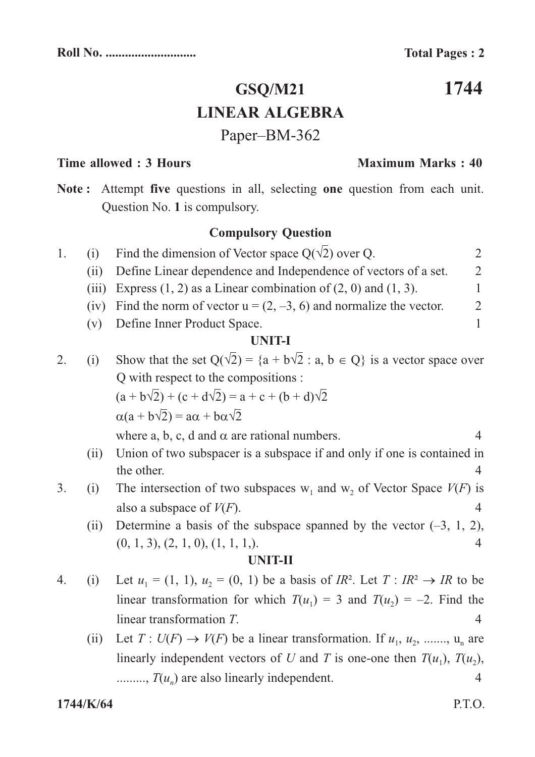**Maximum Marks: 40** 

1744

## **GSQ/M21 LINEAR ALGEBRA** Paper-BM-362

## Time allowed: 3 Hours

the other.

Note: Attempt five questions in all, selecting one question from each unit. Question No. 1 is compulsory.

## **Compulsory Question**

| 1. | (i)   | Find the dimension of Vector space $Q(\sqrt{2})$ over Q.                                |                |
|----|-------|-----------------------------------------------------------------------------------------|----------------|
|    | (i)   | Define Linear dependence and Independence of vectors of a set.                          | 2              |
|    | (iii) | Express $(1, 2)$ as a Linear combination of $(2, 0)$ and $(1, 3)$ .                     |                |
|    | (iv)  | Find the norm of vector $u = (2, -3, 6)$ and normalize the vector.                      | $\mathfrak{2}$ |
|    | (v)   | Define Inner Product Space.                                                             |                |
|    |       | <b>UNIT-I</b>                                                                           |                |
| 2. | (i)   | Show that the set $Q(\sqrt{2}) = \{a + b\sqrt{2} : a, b \in Q\}$ is a vector space over |                |
|    |       | Q with respect to the compositions :                                                    |                |
|    |       | $(a + b\sqrt{2}) + (c + d\sqrt{2}) = a + c + (b + d)\sqrt{2}$                           |                |
|    |       | $\alpha(a+b\sqrt{2})=a\alpha+b\alpha\sqrt{2}$                                           |                |
|    |       | where a, b, c, d and $\alpha$ are rational numbers.                                     | 4              |
|    | (11)  | Union of two subspacer is a subspace if and only if one is contained in                 |                |

- The intersection of two subspaces  $w_1$  and  $w_2$  of Vector Space  $V(F)$  is  $\overline{3}$ .  $(i)$ also a subspace of  $V(F)$ .  $\overline{4}$ 
	- Determine a basis of the subspace spanned by the vector  $(-3, 1, 2)$ ,  $(ii)$  $(0, 1, 3), (2, 1, 0), (1, 1, 1).$  $\overline{4}$

## **UNIT-II**

- Let  $u_1 = (1, 1), u_2 = (0, 1)$  be a basis of  $IR^2$ . Let  $T: IR^2 \rightarrow IR$  to be  $\overline{4}$ .  $(i)$ linear transformation for which  $T(u_1) = 3$  and  $T(u_2) = -2$ . Find the linear transformation  $T$ .  $\overline{4}$ 
	- Let  $T: U(F) \to V(F)$  be a linear transformation. If  $u_1, u_2, \ldots, u_n$  are  $(ii)$ linearly independent vectors of U and T is one-one then  $T(u_1)$ ,  $T(u_2)$ , ........,  $T(u_n)$  are also linearly independent.  $\overline{4}$

 $\overline{4}$